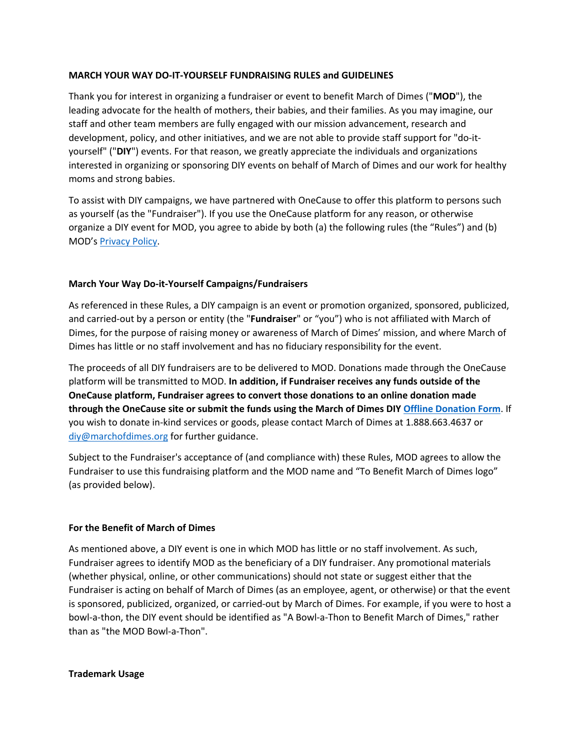#### **MARCH YOUR WAY DO-IT-YOURSELF FUNDRAISING RULES and GUIDELINES**

Thank you for interest in organizing a fundraiser or event to benefit March of Dimes ("**MOD**"), the leading advocate for the health of mothers, their babies, and their families. As you may imagine, our staff and other team members are fully engaged with our mission advancement, research and development, policy, and other initiatives, and we are not able to provide staff support for "do-ityourself" ("**DIY**") events. For that reason, we greatly appreciate the individuals and organizations interested in organizing or sponsoring DIY events on behalf of March of Dimes and our work for healthy moms and strong babies.

To assist with DIY campaigns, we have partnered with OneCause to offer this platform to persons such as yourself (as the "Fundraiser"). If you use the OneCause platform for any reason, or otherwise organize a DIY event for MOD, you agree to abide by both (a) the following rules (the "Rules") and (b) MOD's Privacy Policy.

### **March Your Way Do-it-Yourself Campaigns/Fundraisers**

As referenced in these Rules, a DIY campaign is an event or promotion organized, sponsored, publicized, and carried-out by a person or entity (the "**Fundraiser**" or "you") who is not affiliated with March of Dimes, for the purpose of raising money or awareness of March of Dimes' mission, and where March of Dimes has little or no staff involvement and has no fiduciary responsibility for the event.

The proceeds of all DIY fundraisers are to be delivered to MOD. Donations made through the OneCause platform will be transmitted to MOD. **In addition, if Fundraiser receives any funds outside of the OneCause platform, Fundraiser agrees to convert those donations to an online donation made through the OneCause site or submit the funds using the March of Dimes DIY Offline Donation Form**. If you wish to donate in-kind services or goods, please contact March of Dimes at 1.888.663.4637 or diy@marchofdimes.org for further guidance.

Subject to the Fundraiser's acceptance of (and compliance with) these Rules, MOD agrees to allow the Fundraiser to use this fundraising platform and the MOD name and "To Benefit March of Dimes logo" (as provided below).

#### **For the Benefit of March of Dimes**

As mentioned above, a DIY event is one in which MOD has little or no staff involvement. As such, Fundraiser agrees to identify MOD as the beneficiary of a DIY fundraiser. Any promotional materials (whether physical, online, or other communications) should not state or suggest either that the Fundraiser is acting on behalf of March of Dimes (as an employee, agent, or otherwise) or that the event is sponsored, publicized, organized, or carried-out by March of Dimes. For example, if you were to host a bowl-a-thon, the DIY event should be identified as "A Bowl-a-Thon to Benefit March of Dimes," rather than as "the MOD Bowl-a-Thon".

#### **Trademark Usage**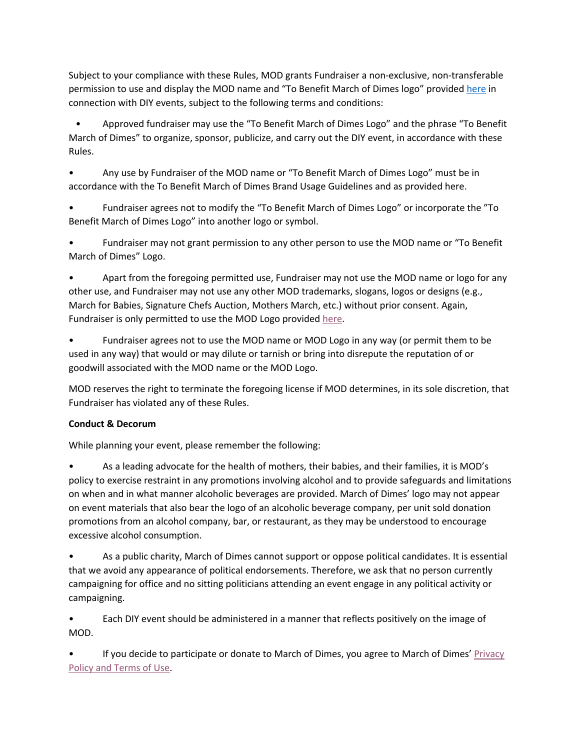Subject to your compliance with these Rules, MOD grants Fundraiser a non-exclusive, non-transferable permission to use and display the MOD name and "To Benefit March of Dimes logo" provided here in connection with DIY events, subject to the following terms and conditions:

 • Approved fundraiser may use the "To Benefit March of Dimes Logo" and the phrase "To Benefit March of Dimes" to organize, sponsor, publicize, and carry out the DIY event, in accordance with these Rules.

• Any use by Fundraiser of the MOD name or "To Benefit March of Dimes Logo" must be in accordance with the To Benefit March of Dimes Brand Usage Guidelines and as provided here.

• Fundraiser agrees not to modify the "To Benefit March of Dimes Logo" or incorporate the "To Benefit March of Dimes Logo" into another logo or symbol.

• Fundraiser may not grant permission to any other person to use the MOD name or "To Benefit March of Dimes" Logo.

• Apart from the foregoing permitted use, Fundraiser may not use the MOD name or logo for any other use, and Fundraiser may not use any other MOD trademarks, slogans, logos or designs (e.g., March for Babies, Signature Chefs Auction, Mothers March, etc.) without prior consent. Again, Fundraiser is only permitted to use the MOD Logo provided here.

• Fundraiser agrees not to use the MOD name or MOD Logo in any way (or permit them to be used in any way) that would or may dilute or tarnish or bring into disrepute the reputation of or goodwill associated with the MOD name or the MOD Logo.

MOD reserves the right to terminate the foregoing license if MOD determines, in its sole discretion, that Fundraiser has violated any of these Rules.

# **Conduct & Decorum**

While planning your event, please remember the following:

• As a leading advocate for the health of mothers, their babies, and their families, it is MOD's policy to exercise restraint in any promotions involving alcohol and to provide safeguards and limitations on when and in what manner alcoholic beverages are provided. March of Dimes' logo may not appear on event materials that also bear the logo of an alcoholic beverage company, per unit sold donation promotions from an alcohol company, bar, or restaurant, as they may be understood to encourage excessive alcohol consumption.

• As a public charity, March of Dimes cannot support or oppose political candidates. It is essential that we avoid any appearance of political endorsements. Therefore, we ask that no person currently campaigning for office and no sitting politicians attending an event engage in any political activity or campaigning.

• Each DIY event should be administered in a manner that reflects positively on the image of MOD.

• If you decide to participate or donate to March of Dimes, you agree to March of Dimes' Privacy Policy and Terms of Use.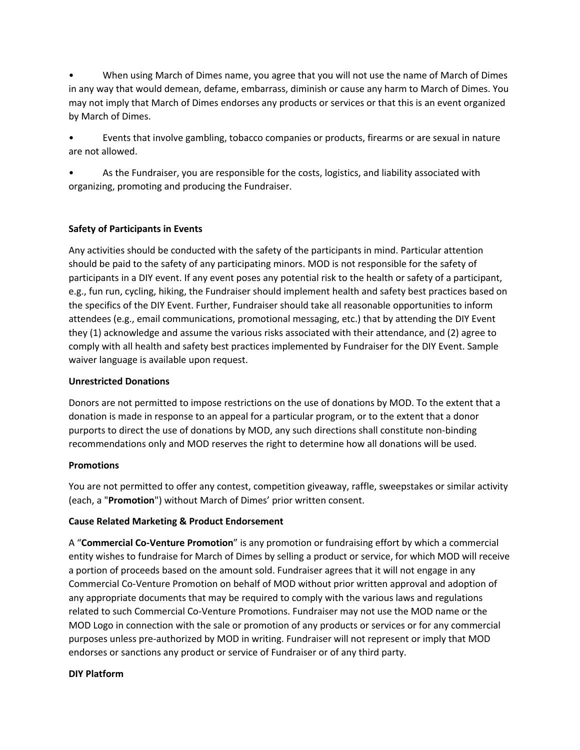• When using March of Dimes name, you agree that you will not use the name of March of Dimes in any way that would demean, defame, embarrass, diminish or cause any harm to March of Dimes. You may not imply that March of Dimes endorses any products or services or that this is an event organized by March of Dimes.

• Events that involve gambling, tobacco companies or products, firearms or are sexual in nature are not allowed.

• As the Fundraiser, you are responsible for the costs, logistics, and liability associated with organizing, promoting and producing the Fundraiser.

# **Safety of Participants in Events**

Any activities should be conducted with the safety of the participants in mind. Particular attention should be paid to the safety of any participating minors. MOD is not responsible for the safety of participants in a DIY event. If any event poses any potential risk to the health or safety of a participant, e.g., fun run, cycling, hiking, the Fundraiser should implement health and safety best practices based on the specifics of the DIY Event. Further, Fundraiser should take all reasonable opportunities to inform attendees (e.g., email communications, promotional messaging, etc.) that by attending the DIY Event they (1) acknowledge and assume the various risks associated with their attendance, and (2) agree to comply with all health and safety best practices implemented by Fundraiser for the DIY Event. Sample waiver language is available upon request.

#### **Unrestricted Donations**

Donors are not permitted to impose restrictions on the use of donations by MOD. To the extent that a donation is made in response to an appeal for a particular program, or to the extent that a donor purports to direct the use of donations by MOD, any such directions shall constitute non-binding recommendations only and MOD reserves the right to determine how all donations will be used.

#### **Promotions**

You are not permitted to offer any contest, competition giveaway, raffle, sweepstakes or similar activity (each, a "**Promotion**") without March of Dimes' prior written consent.

#### **Cause Related Marketing & Product Endorsement**

A "**Commercial Co-Venture Promotion**" is any promotion or fundraising effort by which a commercial entity wishes to fundraise for March of Dimes by selling a product or service, for which MOD will receive a portion of proceeds based on the amount sold. Fundraiser agrees that it will not engage in any Commercial Co-Venture Promotion on behalf of MOD without prior written approval and adoption of any appropriate documents that may be required to comply with the various laws and regulations related to such Commercial Co-Venture Promotions. Fundraiser may not use the MOD name or the MOD Logo in connection with the sale or promotion of any products or services or for any commercial purposes unless pre-authorized by MOD in writing. Fundraiser will not represent or imply that MOD endorses or sanctions any product or service of Fundraiser or of any third party.

#### **DIY Platform**